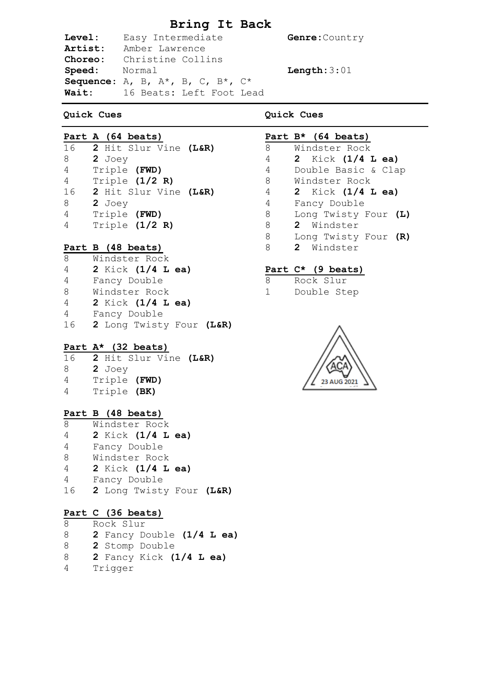# **Bring It Back**

**Genre: Country** 

**Length:**3:01

| <b>Level:</b> | Easy Intermediate                                    |  |
|---------------|------------------------------------------------------|--|
| Artist:       | Amber Lawrence                                       |  |
| Choreo:       | Christine Collins                                    |  |
| Speed: Normal |                                                      |  |
|               | Sequence: A, B, $A^*$ , B, C, $B^*$ , C <sup>*</sup> |  |
| <b>Wait:</b>  | 16 Beats: Left Foot Lead                             |  |
|               |                                                      |  |

# **Quick Cues**

**Quick Cues**

|    |        | Part A (64 beats) |                       |
|----|--------|-------------------|-----------------------|
| 16 |        |                   | 2 Hit Slur Vine (L&R) |
| 8  | 2 Joey |                   |                       |
| 4  |        | Triple (FWD)      |                       |
| 4  |        | Triple $(1/2 R)$  |                       |
| 16 |        |                   | 2 Hit Slur Vine (L&R) |
| 8  | 2 Joey |                   |                       |
| 4  |        | Triple (FWD)      |                       |
|    |        | Triple $(1/2 R)$  |                       |

#### **Part B (48 beats)**

| 8  | Windster Rock            |  |
|----|--------------------------|--|
| 4  | 2 Kick $(1/4$ L ea)      |  |
| 4  | Fancy Double             |  |
| 8  | Windster Rock            |  |
| 4  | 2 Kick (1/4 L ea)        |  |
| 4  | Fancy Double             |  |
| 16 | 2 Long Twisty Four (L&R) |  |

#### **Part A\* (32 beats)**

| 2 Hit Slur Vine (L&R) |  |
|-----------------------|--|
| 2 Joev                |  |
| Triple (FWD)          |  |
| Triple (BK)           |  |
|                       |  |

### **Part B (48 beats)**

| 8  | Windster Rock            |  |
|----|--------------------------|--|
| 4  | 2 Kick (1/4 L ea)        |  |
| 4  | Fancy Double             |  |
| 8  | Windster Rock            |  |
| 4  | 2 Kick (1/4 L ea)        |  |
| 4  | Fancy Double             |  |
| 16 | 2 Long Twisty Four (L&R) |  |

## **Part C (36 beats)**

8 Rock Slur 8 **2** Fancy Double **(1/4 L ea)** 8 **2** Stomp Double 8 **2** Fancy Kick **(1/4 L ea)** 4 Trigger

## **Part B\* (64 beats)** 8 Windster Rock 4 **2** Kick **(1/4 L ea)** 4 Double Basic & Clap 8 Windster Rock 4 **2** Kick **(1/4 L ea)** 4 Fancy Double 8 Long Twisty Four **(L)** 8 **2** Windster 8 Long Twisty Four **(R)** 8 **2** Windster

### **Part C\* (9 beats)**

- 8 Rock Slur
- 1 Double Step